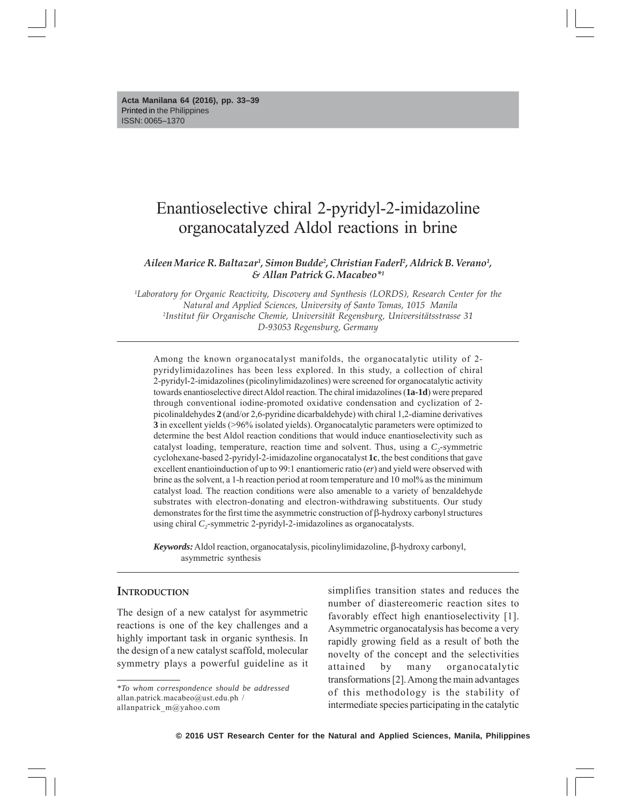**Acta Manilana 64 (2016), pp. 33–39** Printed in the Philippines ISSN: 0065–1370

# Enantioselective chiral 2-pyridyl-2-imidazoline organocatalyzed Aldol reactions in brine

#### *Aileen Marice R. Baltazar1 , Simon Budde2 , Christian Faderl2 , Aldrick B. Verano1 , & Allan Patrick G. Macabeo\*1*

*1 Laboratory for Organic Reactivity, Discovery and Synthesis (LORDS), Research Center for the Natural and Applied Sciences, University of Santo Tomas, 1015 Manila 2 Institut für Organische Chemie, Universität Regensburg, Universitätsstrasse 31 D-93053 Regensburg, Germany*

Among the known organocatalyst manifolds, the organocatalytic utility of 2 pyridylimidazolines has been less explored. In this study, a collection of chiral 2-pyridyl-2-imidazolines (picolinylimidazolines) were screened for organocatalytic activity towards enantioselective direct Aldol reaction. The chiral imidazolines (**1a-1d**) were prepared through conventional iodine-promoted oxidative condensation and cyclization of 2 picolinaldehydes **2** (and/or 2,6-pyridine dicarbaldehyde) with chiral 1,2-diamine derivatives **3** in excellent yields (>96% isolated yields). Organocatalytic parameters were optimized to determine the best Aldol reaction conditions that would induce enantioselectivity such as catalyst loading, temperature, reaction time and solvent. Thus, using a  $C_2$ -symmetric cyclohexane-based 2-pyridyl-2-imidazoline organocatalyst **1c**, the best conditions that gave excellent enantioinduction of up to 99:1 enantiomeric ratio (*er*) and yield were observed with brine as the solvent, a 1-h reaction period at room temperature and 10 mol% as the minimum catalyst load. The reaction conditions were also amenable to a variety of benzaldehyde substrates with electron-donating and electron-withdrawing substituents. Our study demonstrates for the first time the asymmetric construction of  $\beta$ -hydroxy carbonyl structures using chiral *C*<sub>2</sub>-symmetric 2-pyridyl-2-imidazolines as organocatalysts.

 $Keywords:$  Aldol reaction, organocatalysis, picolinylimidazoline,  $\beta$ -hydroxy carbonyl, asymmetric synthesis

## **INTRODUCTION**

The design of a new catalyst for asymmetric reactions is one of the key challenges and a highly important task in organic synthesis. In the design of a new catalyst scaffold, molecular symmetry plays a powerful guideline as it simplifies transition states and reduces the number of diastereomeric reaction sites to favorably effect high enantioselectivity [1]. Asymmetric organocatalysis has become a very rapidly growing field as a result of both the novelty of the concept and the selectivities attained by many organocatalytic transformations [2]. Among the main advantages of this methodology is the stability of intermediate species participating in the catalytic

*<sup>\*</sup>To whom correspondence should be addressed* allan.patrick.macabeo@ust.edu.ph / allanpatrick\_m@yahoo.com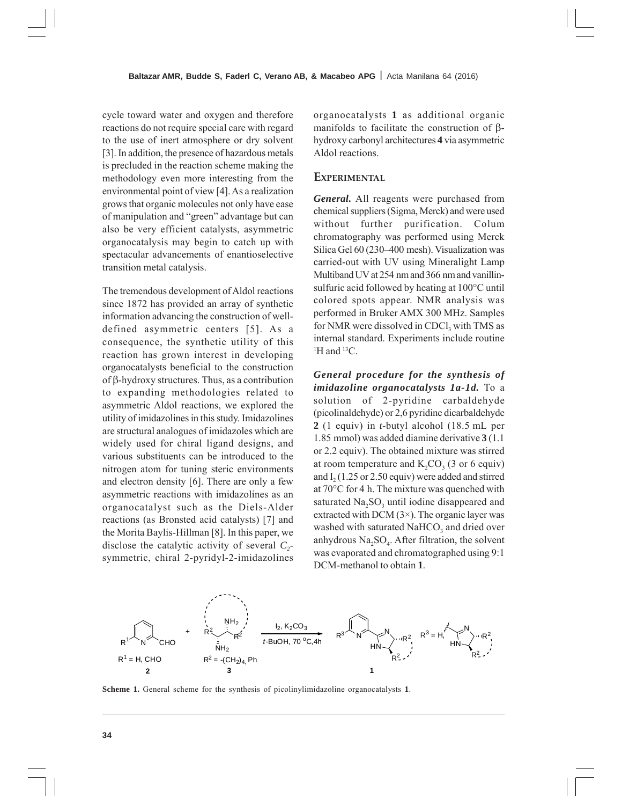cycle toward water and oxygen and therefore reactions do not require special care with regard to the use of inert atmosphere or dry solvent [3]. In addition, the presence of hazardous metals is precluded in the reaction scheme making the methodology even more interesting from the environmental point of view [4]. As a realization grows that organic molecules not only have ease of manipulation and "green" advantage but can also be very efficient catalysts, asymmetric organocatalysis may begin to catch up with spectacular advancements of enantioselective transition metal catalysis.

The tremendous development of Aldol reactions since 1872 has provided an array of synthetic information advancing the construction of welldefined asymmetric centers [5]. As a consequence, the synthetic utility of this reaction has grown interest in developing organocatalysts beneficial to the construction of  $\beta$ -hydroxy structures. Thus, as a contribution to expanding methodologies related to asymmetric Aldol reactions, we explored the utility of imidazolines in this study. Imidazolines are structural analogues of imidazoles which are widely used for chiral ligand designs, and various substituents can be introduced to the nitrogen atom for tuning steric environments and electron density [6]. There are only a few asymmetric reactions with imidazolines as an organocatalyst such as the Diels-Alder reactions (as Bronsted acid catalysts) [7] and the Morita Baylis-Hillman [8]. In this paper, we disclose the catalytic activity of several  $C_2$ symmetric, chiral 2-pyridyl-2-imidazolines

organocatalysts **1** as additional organic manifolds to facilitate the construction of  $\beta$ hydroxy carbonyl architectures **4** via asymmetric Aldol reactions.

## **EXPERIMENTAL**

*General.* All reagents were purchased from chemical suppliers (Sigma, Merck) and were used without further purification. Colum chromatography was performed using Merck Silica Gel 60 (230–400 mesh). Visualization was carried-out with UV using Mineralight Lamp Multiband UV at 254 nm and 366 nm and vanillinsulfuric acid followed by heating at 100°C until colored spots appear. NMR analysis was performed in Bruker AMX 300 MHz. Samples for NMR were dissolved in  $CDCl<sub>3</sub>$  with TMS as internal standard. Experiments include routine <sup>1</sup>H and <sup>13</sup>C.

*General procedure for the synthesis of imidazoline organocatalysts 1a-1d.* To a solution of 2-pyridine carbaldehyde (picolinaldehyde) or 2,6 pyridine dicarbaldehyde **2** (1 equiv) in *t*-butyl alcohol (18.5 mL per 1.85 mmol) was added diamine derivative **3** (1.1 or 2.2 equiv). The obtained mixture was stirred at room temperature and  $K_2CO_3$  (3 or 6 equiv) and  $I<sub>2</sub> (1.25 or 2.50 equity)$  were added and stirred at 70°C for 4 h. The mixture was quenched with saturated Na<sub>2</sub>SO<sub>3</sub> until iodine disappeared and extracted with DCM  $(3\times)$ . The organic layer was washed with saturated NaHCO<sub>3</sub> and dried over anhydrous  $Na<sub>2</sub>SO<sub>4</sub>$ . After filtration, the solvent was evaporated and chromatographed using 9:1 DCM-methanol to obtain **1**.



**Scheme 1.** General scheme for the synthesis of picolinylimidazoline organocatalysts **1**.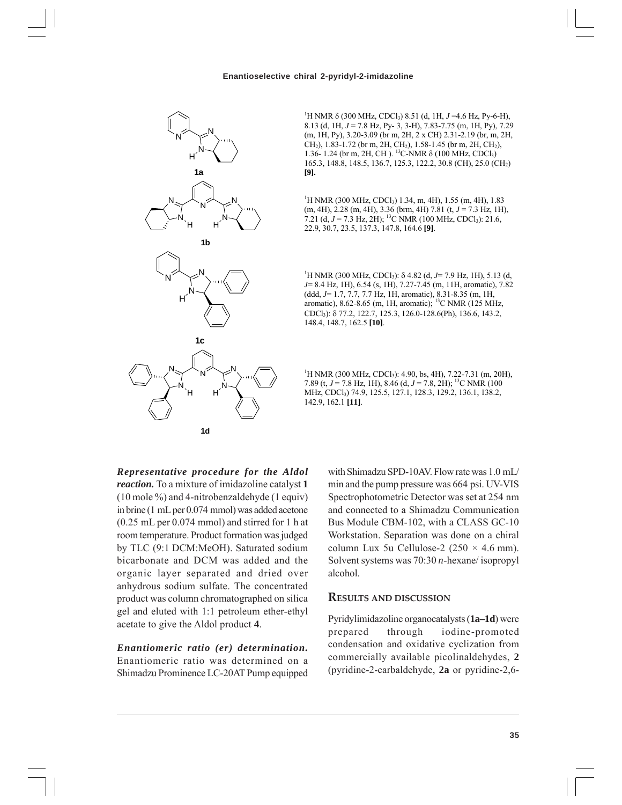#### **Enantioselective chiral 2-pyridyl-2-imidazoline**



<sup>1</sup>H NMR δ (300 MHz, CDCl<sub>3</sub>) 8.51 (d, 1H, *J* =4.6 Hz, Py-6-H), 8.13 (d, 1H, *J* = 7.8 Hz, Py- 3, 3-H), 7.83-7.75 (m, 1H, Py), 7.29 (m, 1H, Py), 3.20-3.09 (br m, 2H, 2 x CH) 2.31-2.19 (br, m, 2H, CH2), 1.83-1.72 (br m, 2H, CH2), 1.58-1.45 (br m, 2H, CH2), 1.36- 1.24 (br m, 2H, CH). <sup>13</sup>C-NMR δ (100 MHz, CDCl<sub>3</sub>) 165.3, 148.8, 148.5, 136.7, 125.3, 122.2, 30.8 (CH), 25.0 (CH2) **[9].**

<sup>1</sup>H NMR (300 MHz, CDCl<sub>3</sub>) 1.34, m, 4H), 1.55 (m, 4H), 1.83 (m, 4H), 2.28 (m, 4H), 3.36 (brm, 4H) 7.81 (t, *J* = 7.3 Hz, 1H), 7.21 (d, *J* = 7.3 Hz, 2H); <sup>13</sup>C NMR (100 MHz, CDCl<sub>3</sub>): 21.6, 22.9, 30.7, 23.5, 137.3, 147.8, 164.6 **[9]**.

<sup>1</sup>H NMR (300 MHz, CDCl<sub>3</sub>): δ 4.82 (d, *J*= 7.9 Hz, 1H), 5.13 (d, *J*= 8.4 Hz, 1H), 6.54 (s, 1H), 7.27-7.45 (m, 11H, aromatic), 7.82 (ddd, *J*= 1.7, 7.7, 7.7 Hz, 1H, aromatic), 8.31-8.35 (m, 1H, aromatic), 8.62-8.65 (m, 1H, aromatic); 13C NMR (125 MHz, CDCl3): 77.2, 122.7, 125.3, 126.0-128.6(Ph), 136.6, 143.2, 148.4, 148.7, 162.5 **[10]**.

<sup>1</sup>H NMR (300 MHz, CDCl<sub>3</sub>): 4.90, bs, 4H), 7.22-7.31 (m, 20H), 7.89 (t, *J* = 7.8 Hz, 1H), 8.46 (d, *J* = 7.8, 2H); 13C NMR (100 MHz, CDCl3) 74.9, 125.5, 127.1, 128.3, 129.2, 136.1, 138.2, 142.9, 162.1 **[11]**.

*Representative procedure for the Aldol reaction.* To a mixture of imidazoline catalyst **1** (10 mole %) and 4-nitrobenzaldehyde (1 equiv) in brine (1 mL per 0.074 mmol) was added acetone (0.25 mL per 0.074 mmol) and stirred for 1 h at room temperature. Product formation was judged by TLC (9:1 DCM:MeOH). Saturated sodium bicarbonate and DCM was added and the organic layer separated and dried over anhydrous sodium sulfate. The concentrated product was column chromatographed on silica gel and eluted with 1:1 petroleum ether-ethyl acetate to give the Aldol product **4**.

*Enantiomeric ratio (er) determination.* Enantiomeric ratio was determined on a Shimadzu Prominence LC-20AT Pump equipped with Shimadzu SPD-10AV. Flow rate was 1.0 mL/ min and the pump pressure was 664 psi. UV-VIS Spectrophotometric Detector was set at 254 nm and connected to a Shimadzu Communication Bus Module CBM-102, with a CLASS GC-10 Workstation. Separation was done on a chiral column Lux 5u Cellulose-2 ( $250 \times 4.6$  mm). Solvent systems was 70:30 *n*-hexane/ isopropyl alcohol.

# **RESULTS AND DISCUSSION**

Pyridylimidazoline organocatalysts (**1a–1d**) were prepared through iodine-promoted condensation and oxidative cyclization from commercially available picolinaldehydes, **2** (pyridine-2-carbaldehyde, **2a** or pyridine-2,6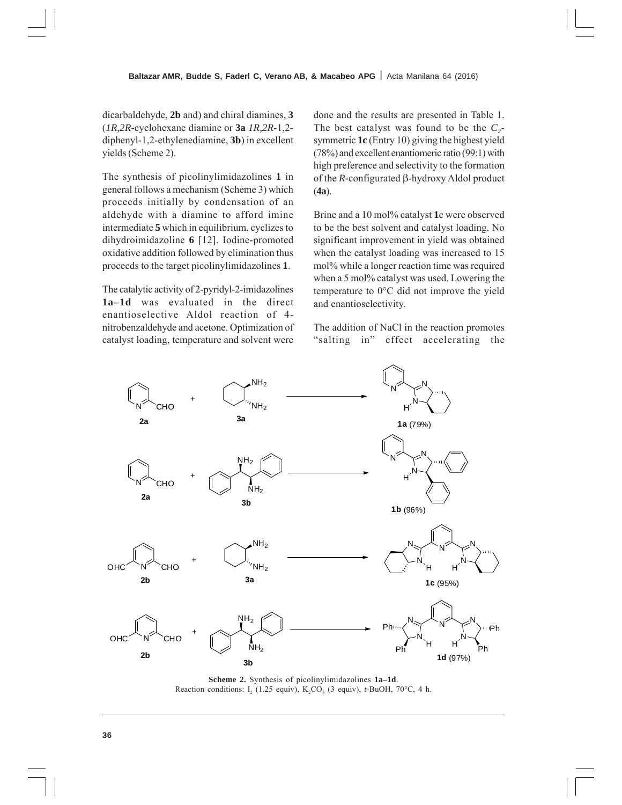dicarbaldehyde, **2b** and) and chiral diamines, **3** (*1R,2R*-cyclohexane diamine or **3a** *1R,2R*-1,2 diphenyl-1,2-ethylenediamine, **3b**) in excellent yields (Scheme 2).

The synthesis of picolinylimidazolines **1** in general follows a mechanism (Scheme 3) which proceeds initially by condensation of an aldehyde with a diamine to afford imine intermediate **5** which in equilibrium, cyclizes to dihydroimidazoline **6** [12]. Iodine-promoted oxidative addition followed by elimination thus proceeds to the target picolinylimidazolines **1**.

The catalytic activity of 2-pyridyl-2-imidazolines **1a–1d** was evaluated in the direct enantioselective Aldol reaction of 4 nitrobenzaldehyde and acetone. Optimization of catalyst loading, temperature and solvent were

done and the results are presented in Table 1. The best catalyst was found to be the  $C_2$ symmetric **1c** (Entry 10) giving the highest yield (78%) and excellent enantiomeric ratio (99:1) with high preference and selectivity to the formation of the  $R$ -configurated  $\beta$ -hydroxy Aldol product (**4a**).

Brine and a 10 mol% catalyst **1**c were observed to be the best solvent and catalyst loading. No significant improvement in yield was obtained when the catalyst loading was increased to 15 mol% while a longer reaction time was required when a 5 mol% catalyst was used. Lowering the temperature to 0°C did not improve the yield and enantioselectivity.

The addition of NaCl in the reaction promotes "salting in" effect accelerating the



**Scheme 2.** Synthesis of picolinylimidazolines **1a–1d**. Reaction conditions: I<sub>2</sub> (1.25 equiv), K<sub>2</sub>CO<sub>3</sub> (3 equiv), *t*-BuOH, 70 $^{\circ}$ C, 4 h.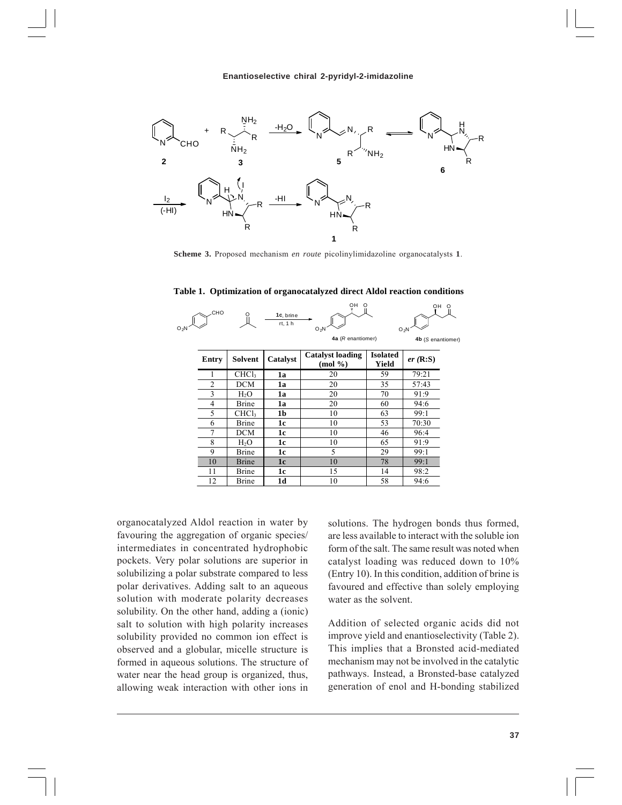

**Scheme 3.** Proposed mechanism *en route* picolinylimidazoline organocatalysts **1**.

| O <sub>2</sub> N | CHO   |                   | 1c, brine<br>rt, 1 h | ŌН<br>$\Omega$<br>$O_2N$<br>4a (R enantiomer)       |                          | OH<br>$\Omega$<br>$O_2N$<br>4b (S enantiomer) |  |  |
|------------------|-------|-------------------|----------------------|-----------------------------------------------------|--------------------------|-----------------------------------------------|--|--|
|                  | Entry | Solvent           | Catalyst             | <b>Catalyst loading</b><br>$(mod \frac{\theta}{2})$ | <b>Isolated</b><br>Yield | er(R: S)                                      |  |  |
|                  |       | CHCl <sub>3</sub> | 1a                   | 20                                                  | 59                       | 79:21                                         |  |  |
|                  | 2     | <b>DCM</b>        | 1a                   | 20                                                  | 35                       | 57:43                                         |  |  |
|                  | 3     | $H_2O$            | 1a                   | 20                                                  | 70                       | 91:9                                          |  |  |
|                  | 4     | Brine             | 1a                   | 20                                                  | 60                       | 94:6                                          |  |  |
|                  | 5     | CHCl <sub>3</sub> | 1 <sub>b</sub>       | 10                                                  | 63                       | 99:1                                          |  |  |
|                  | 6     | Brine             | 1c                   | 10                                                  | 53                       | 70:30                                         |  |  |
|                  |       | <b>DCM</b>        | 1c                   | 10                                                  | 46                       | 96:4                                          |  |  |
|                  | 8     | $H_2O$            | 1c                   | 10                                                  | 65                       | 91:9                                          |  |  |
|                  | 9     | Brine             | 1c                   | 5                                                   | 29                       | 99:1                                          |  |  |
|                  | 10    | <b>Brine</b>      | 1 <sub>c</sub>       | 10                                                  | 78                       | 99:1                                          |  |  |
|                  | 11    | Brine             | 1c                   | 15                                                  | 14                       | 98:2                                          |  |  |

12 Brine **1d** 10 10 58 94:6

**Table 1. Optimization of organocatalyzed direct Aldol reaction conditions** 

organocatalyzed Aldol reaction in water by favouring the aggregation of organic species/ intermediates in concentrated hydrophobic pockets. Very polar solutions are superior in solubilizing a polar substrate compared to less polar derivatives. Adding salt to an aqueous solution with moderate polarity decreases solubility. On the other hand, adding a (ionic) salt to solution with high polarity increases solubility provided no common ion effect is observed and a globular, micelle structure is formed in aqueous solutions. The structure of water near the head group is organized, thus, allowing weak interaction with other ions in

solutions. The hydrogen bonds thus formed, are less available to interact with the soluble ion form of the salt. The same result was noted when catalyst loading was reduced down to 10% (Entry 10). In this condition, addition of brine is favoured and effective than solely employing water as the solvent.

Addition of selected organic acids did not improve yield and enantioselectivity (Table 2). This implies that a Bronsted acid-mediated mechanism may not be involved in the catalytic pathways. Instead, a Bronsted-base catalyzed generation of enol and H-bonding stabilized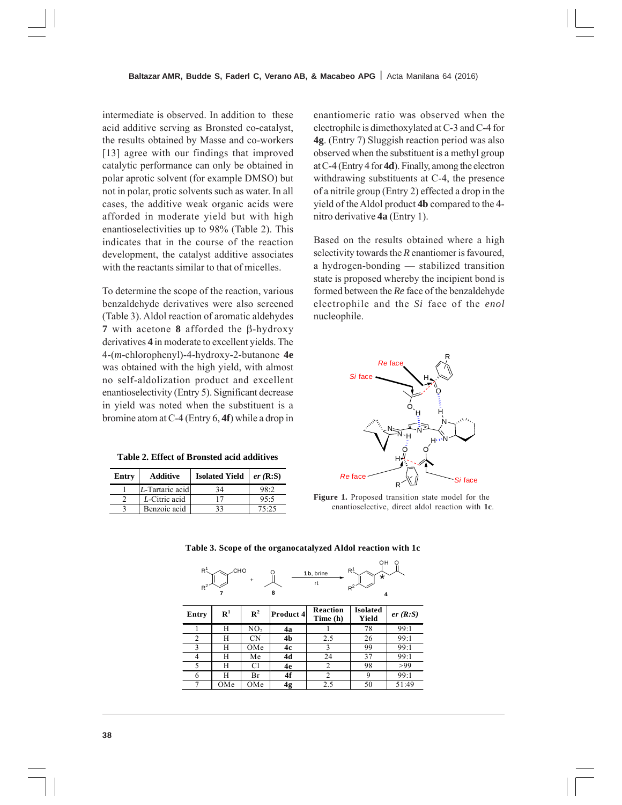intermediate is observed. In addition to these acid additive serving as Bronsted co-catalyst, the results obtained by Masse and co-workers [13] agree with our findings that improved catalytic performance can only be obtained in polar aprotic solvent (for example DMSO) but not in polar, protic solvents such as water. In all cases, the additive weak organic acids were afforded in moderate yield but with high enantioselectivities up to 98% (Table 2). This indicates that in the course of the reaction development, the catalyst additive associates with the reactants similar to that of micelles.

To determine the scope of the reaction, various benzaldehyde derivatives were also screened (Table 3). Aldol reaction of aromatic aldehydes **7** with acetone **8** afforded the  $\beta$ -hydroxy derivatives **4** in moderate to excellent yields. The 4-(*m*-chlorophenyl)-4-hydroxy-2-butanone **4e** was obtained with the high yield, with almost no self-aldolization product and excellent enantioselectivity (Entry 5). Significant decrease in yield was noted when the substituent is a bromine atom at C-4 (Entry 6, **4f**) while a drop in

| Table 2. Effect of Bronsted acid additives |  |  |  |  |  |  |  |
|--------------------------------------------|--|--|--|--|--|--|--|
|--------------------------------------------|--|--|--|--|--|--|--|

| Entry | <b>Additive</b> | <b>Isolated Yield</b> | $er$ (R:S) |  |
|-------|-----------------|-----------------------|------------|--|
|       | L-Tartaric acid | 34                    | 98.2       |  |
|       | L-Citric acid   |                       | 95:5       |  |
|       | Benzoic acid    | 33                    | 75.25      |  |

enantiomeric ratio was observed when the electrophile is dimethoxylated at C-3 and C-4 for **4g**. (Entry 7) Sluggish reaction period was also observed when the substituent is a methyl group at C-4 (Entry 4 for **4d**). Finally, among the electron withdrawing substituents at C-4, the presence of a nitrile group (Entry 2) effected a drop in the yield of the Aldol product **4b** compared to the 4 nitro derivative **4a** (Entry 1).

Based on the results obtained where a high selectivity towards the *R* enantiomer is favoured, a hydrogen-bonding — stabilized transition state is proposed whereby the incipient bond is formed between the *Re* face of the benzaldehyde electrophile and the *Si* face of the *enol* nucleophile.



**Figure 1.** Proposed transition state model for the enantioselective, direct aldol reaction with **1c**.

OH O

| $R^1$<br>R <sup>1</sup><br>CHO.<br>1b, brine<br>$\star$<br>$\ddot{}$<br>rt<br>$R^2$<br>$R^2$<br>8<br>4 |             |                 |                |                      |                          |          |  |  |
|--------------------------------------------------------------------------------------------------------|-------------|-----------------|----------------|----------------------|--------------------------|----------|--|--|
| Entry                                                                                                  | ${\bf R}^1$ | $\mathbb{R}^2$  | Product 4      | Reaction<br>Time (h) | <b>Isolated</b><br>Yield | er(R: S) |  |  |
|                                                                                                        | Н           | NO <sub>2</sub> | 4a             |                      | 78                       | 99:1     |  |  |
| 2                                                                                                      | Н           | CΝ              | 4 <sub>b</sub> | 2.5                  | 26                       | 99:1     |  |  |
| 3                                                                                                      | Н           | OMe             | 4c             | 3                    | 99                       | 99:1     |  |  |
| 4                                                                                                      | Н           | Мe              | 4d             | 24                   | 37                       | 99:1     |  |  |
| 5                                                                                                      | Н           | Cl              | 4e             | 2                    | 98                       | >99      |  |  |
| 6                                                                                                      | H           | Br              | 4f             | $\overline{c}$       | 9                        | 99:1     |  |  |
| $\tau$                                                                                                 | OMe         | OMe             | 4g             | 2.5                  | 50                       | 51:49    |  |  |

**Table 3. Scope of the organocatalyzed Aldol reaction with 1c**